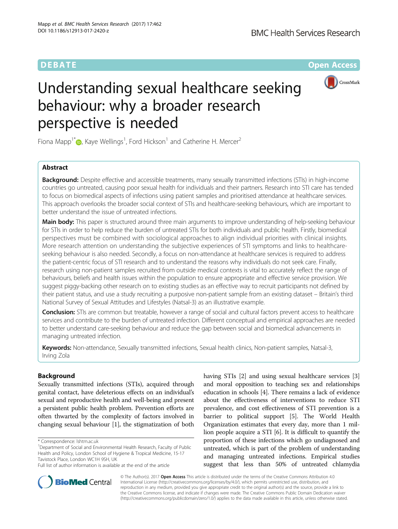**DEBATE CONSERVATION CONSERVATION** 



# Understanding sexual healthcare seeking behaviour: why a broader research perspective is needed

Fiona Mapp<sup>1[\\*](http://orcid.org/0000-0003-0733-6036)</sup> $\bm{\circ}$ , Kaye Wellings<sup>1</sup>, Ford Hickson<sup>1</sup> and Catherine H. Mercer<sup>2</sup>

# Abstract

Background: Despite effective and accessible treatments, many sexually transmitted infections (STIs) in high-income countries go untreated, causing poor sexual health for individuals and their partners. Research into STI care has tended to focus on biomedical aspects of infections using patient samples and prioritised attendance at healthcare services. This approach overlooks the broader social context of STIs and healthcare-seeking behaviours, which are important to better understand the issue of untreated infections.

Main body: This paper is structured around three main arguments to improve understanding of help-seeking behaviour for STIs in order to help reduce the burden of untreated STIs for both individuals and public health. Firstly, biomedical perspectives must be combined with sociological approaches to align individual priorities with clinical insights. More research attention on understanding the subjective experiences of STI symptoms and links to healthcareseeking behaviour is also needed. Secondly, a focus on non-attendance at healthcare services is required to address the patient-centric focus of STI research and to understand the reasons why individuals do not seek care. Finally, research using non-patient samples recruited from outside medical contexts is vital to accurately reflect the range of behaviours, beliefs and health issues within the population to ensure appropriate and effective service provision. We suggest piggy-backing other research on to existing studies as an effective way to recruit participants not defined by their patient status, and use a study recruiting a purposive non-patient sample from an existing dataset – Britain's third National Survey of Sexual Attitudes and Lifestyles (Natsal-3) as an illustrative example.

**Conclusion:** STIs are common but treatable, however a range of social and cultural factors prevent access to healthcare services and contribute to the burden of untreated infection. Different conceptual and empirical approaches are needed to better understand care-seeking behaviour and reduce the gap between social and biomedical advancements in managing untreated infection.

Keywords: Non-attendance, Sexually transmitted infections, Sexual health clinics, Non-patient samples, Natsal-3, Irving Zola

# Background

Sexually transmitted infections (STIs), acquired through genital contact, have deleterious effects on an individual's sexual and reproductive health and well-being and present a persistent public health problem. Prevention efforts are often thwarted by the complexity of factors involved in changing sexual behaviour [[1\]](#page-6-0), the stigmatization of both having STIs [[2\]](#page-6-0) and using sexual healthcare services [[3](#page-6-0)] and moral opposition to teaching sex and relationships education in schools [[4\]](#page-6-0). There remains a lack of evidence about the effectiveness of interventions to reduce STI prevalence, and cost effectiveness of STI prevention is a barrier to political support [\[5](#page-6-0)]. The World Health Organization estimates that every day, more than 1 million people acquire a STI [\[6](#page-6-0)]. It is difficult to quantify the proportion of these infections which go undiagnosed and untreated, which is part of the problem of understanding and managing untreated infections. Empirical studies suggest that less than 50% of untreated chlamydia



© The Author(s). 2017 **Open Access** This article is distributed under the terms of the Creative Commons Attribution 4.0 International License [\(http://creativecommons.org/licenses/by/4.0/](http://creativecommons.org/licenses/by/4.0/)), which permits unrestricted use, distribution, and reproduction in any medium, provided you give appropriate credit to the original author(s) and the source, provide a link to the Creative Commons license, and indicate if changes were made. The Creative Commons Public Domain Dedication waiver [\(http://creativecommons.org/publicdomain/zero/1.0/](http://creativecommons.org/publicdomain/zero/1.0/)) applies to the data made available in this article, unless otherwise stated.

<sup>\*</sup> Correspondence: [lshtm.ac.uk](mailto:fiona.mapp[@>lshtm.ac.uk) <sup>1</sup>

<sup>&</sup>lt;sup>1</sup>Department of Social and Environmental Health Research, Faculty of Public Health and Policy, London School of Hygiene & Tropical Medicine, 15-17 Tavistock Place, London WC1H 9SH, UK

Full list of author information is available at the end of the article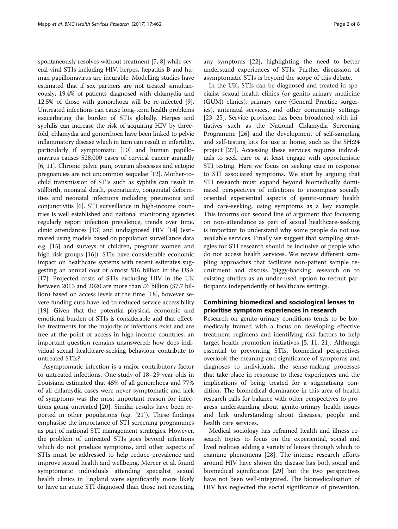spontaneously resolves without treatment [[7, 8](#page-6-0)] while several viral STIs including HIV, herpes, hepatitis B and human papillomavirus are incurable. Modelling studies have estimated that if sex partners are not treated simultaneously, 19.4% of patients diagnosed with chlamydia and 12.5% of those with gonorrhoea will be re-infected [[9](#page-6-0)]. Untreated infections can cause long-term health problems exacerbating the burden of STIs globally. Herpes and syphilis can increase the risk of acquiring HIV by threefold, chlamydia and gonorrhoea have been linked to pelvic inflammatory disease which in turn can result in infertility, particularly if symptomatic [\[10\]](#page-6-0) and human papillomavirus causes 528,000 cases of cervical cancer annually [[6, 11](#page-6-0)]. Chronic pelvic pain, ovarian abscesses and ectopic pregnancies are not uncommon sequelae [[12](#page-6-0)]. Mother-tochild transmission of STIs such as syphilis can result in stillbirth, neonatal death, prematurity, congenital deformities and neonatal infections including pneumonia and conjunctivitis [\[6](#page-6-0)]. STI surveillance in high-income countries is well established and national monitoring agencies regularly report infection prevalence, trends over time, clinic attendances [\[13\]](#page-6-0) and undiagnosed HIV [\[14\]](#page-6-0) (estimated using models based on population surveillance data e.g. [[15](#page-6-0)] and surveys of children, pregnant women and high risk groups [\[16\]](#page-6-0)). STIs have considerable economic impact on healthcare systems with recent estimates suggesting an annual cost of almost \$16 billion in the USA [[17](#page-6-0)]. Projected costs of STIs excluding HIV in the UK between 2013 and 2020 are more than £6 billion (\$7.7 billion) based on access levels at the time [\[18](#page-6-0)], however severe funding cuts have led to reduced service accessibility [[19](#page-6-0)]. Given that the potential physical, economic and emotional burden of STIs is considerable and that effective treatments for the majority of infections exist and are free at the point of access in high-income countries, an important question remains unanswered: how does individual sexual healthcare-seeking behaviour contribute to untreated STIs?

Asymptomatic infection is a major contributory factor to untreated infections. One study of 18–29 year olds in Louisiana estimated that 45% of all gonorrhoea and 77% of all chlamydia cases were never symptomatic and lack of symptoms was the most important reason for infections going untreated [\[20](#page-6-0)]. Similar results have been reported in other populations (e.g. [\[21](#page-6-0)]). These findings emphasise the importance of STI screening programmes as part of national STI management strategies. However, the problem of untreated STIs goes beyond infections which do not produce symptoms, and other aspects of STIs must be addressed to help reduce prevalence and improve sexual health and wellbeing. Mercer et al. found symptomatic individuals attending specialist sexual health clinics in England were significantly more likely to have an acute STI diagnosed than those not reporting any symptoms [\[22\]](#page-6-0), highlighting the need to better understand experiences of STIs. Further discussion of asymptomatic STIs is beyond the scope of this debate.

In the UK, STIs can be diagnosed and treated in specialist sexual health clinics (or genito-urinary medicine (GUM) clinics), primary care (General Practice surgeries), antenatal services, and other community settings [[23](#page-6-0)–[25](#page-6-0)]. Service provision has been broadened with initiatives such as the National Chlamydia Screening Programme [\[26](#page-6-0)] and the development of self-sampling and self-testing kits for use at home, such as the SH:24 project [\[27](#page-6-0)]. Accessing these services requires individuals to seek care or at least engage with opportunistic STI testing. Here we focus on seeking care in response to STI associated symptoms. We start by arguing that STI research must expand beyond biomedically dominated perspectives of infections to encompass socially oriented experiential aspects of genito-urinary health and care-seeking, using symptoms as a key example. This informs our second line of argument that focussing on non-attendance as part of sexual healthcare-seeking is important to understand why some people do not use available services. Finally we suggest that sampling strategies for STI research should be inclusive of people who do not access health services. We review different sampling approaches that facilitate non-patient sample recruitment and discuss 'piggy-backing' research on to existing studies as an under-used option to recruit participants independently of healthcare settings.

# Combining biomedical and sociological lenses to prioritise symptom experiences in research

Research on genito-urinary conditions tends to be biomedically framed with a focus on developing effective treatment regimens and identifying risk factors to help target health promotion initiatives [[5](#page-6-0), [11](#page-6-0), [21\]](#page-6-0). Although essential to preventing STIs, biomedical perspectives overlook the meaning and significance of symptoms and diagnoses to individuals, the sense-making processes that take place in response to these experiences and the implications of being treated for a stigmatising condition. The biomedical dominance in this area of health research calls for balance with other perspectives to progress understanding about genito-urinary health issues and link understanding about diseases, people and health care services.

Medical sociology has reframed health and illness research topics to focus on the experiential, social and lived realities adding a variety of lenses through which to examine phenomena [\[28](#page-6-0)]. The intense research efforts around HIV have shown the disease has both social and biomedical significance [\[29](#page-6-0)] but the two perspectives have not been well-integrated. The biomedicalisation of HIV has neglected the social significance of prevention,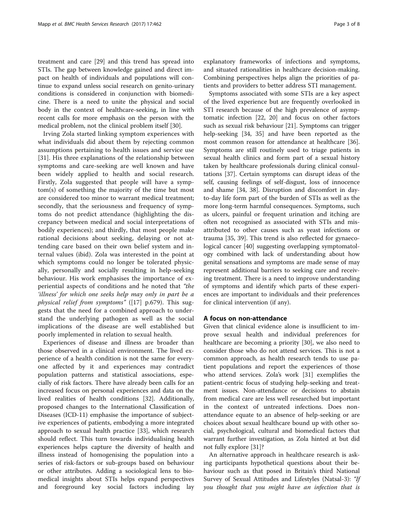treatment and care [\[29](#page-6-0)] and this trend has spread into STIs. The gap between knowledge gained and direct impact on health of individuals and populations will continue to expand unless social research on genito-urinary conditions is considered in conjunction with biomedicine. There is a need to unite the physical and social body in the context of healthcare-seeking, in line with recent calls for more emphasis on the person with the medical problem, not the clinical problem itself [[30\]](#page-6-0).

Irving Zola started linking symptom experiences with what individuals did about them by rejecting common assumptions pertaining to health issues and service use [[31\]](#page-6-0). His three explanations of the relationship between symptoms and care-seeking are well known and have been widely applied to health and social research. Firstly, Zola suggested that people will have a symptom(s) of something the majority of the time but most are considered too minor to warrant medical treatment; secondly, that the seriousness and frequency of symptoms do not predict attendance (highlighting the discrepancy between medical and social interpretations of bodily experiences); and thirdly, that most people make rational decisions about seeking, delaying or not attending care based on their own belief system and internal values (ibid). Zola was interested in the point at which symptoms could no longer be tolerated physically, personally and socially resulting in help-seeking behaviour. His work emphasises the importance of experiential aspects of conditions and he noted that "the 'illness' for which one seeks help may only in part be a physical relief from symptoms" ([\[17](#page-6-0)] p.679). This suggests that the need for a combined approach to understand the underlying pathogen as well as the social implications of the disease are well established but poorly implemented in relation to sexual health.

Experiences of disease and illness are broader than those observed in a clinical environment. The lived experience of a health condition is not the same for everyone affected by it and experiences may contradict population patterns and statistical associations, especially of risk factors. There have already been calls for an increased focus on personal experiences and data on the lived realities of health conditions [\[32\]](#page-6-0). Additionally, proposed changes to the International Classification of Diseases (ICD-11) emphasise the importance of subjective experiences of patients, embodying a more integrated approach to sexual health practice [[33\]](#page-6-0), which research should reflect. This turn towards individualising health experiences helps capture the diversity of health and illness instead of homogenising the population into a series of risk-factors or sub-groups based on behaviour or other attributes. Adding a sociological lens to biomedical insights about STIs helps expand perspectives and foreground key social factors including lay

explanatory frameworks of infections and symptoms, and situated rationalities in healthcare decision-making. Combining perspectives helps align the priorities of patients and providers to better address STI management.

Symptoms associated with some STIs are a key aspect of the lived experience but are frequently overlooked in STI research because of the high prevalence of asymptomatic infection [[22](#page-6-0), [20\]](#page-6-0) and focus on other factors such as sexual risk behaviour [\[21](#page-6-0)]. Symptoms can trigger help-seeking [[34, 35](#page-6-0)] and have been reported as the most common reason for attendance at healthcare [\[36](#page-6-0)]. Symptoms are still routinely used to triage patients in sexual health clinics and form part of a sexual history taken by healthcare professionals during clinical consultations [\[37](#page-6-0)]. Certain symptoms can disrupt ideas of the self, causing feelings of self-disgust, loss of innocence and shame [\[34](#page-6-0), [38](#page-6-0)]. Disruption and discomfort in dayto-day life form part of the burden of STIs as well as the more long-term harmful consequences. Symptoms, such as ulcers, painful or frequent urination and itching are often not recognised as associated with STIs and misattributed to other causes such as yeast infections or trauma [\[35](#page-6-0), [39](#page-6-0)]. This trend is also reflected for gynaecological cancer [[40\]](#page-6-0) suggesting overlapping symptomatology combined with lack of understanding about how genital sensations and symptoms are made sense of may represent additional barriers to seeking care and receiving treatment. There is a need to improve understanding of symptoms and identify which parts of these experiences are important to individuals and their preferences for clinical intervention (if any).

# A focus on non-attendance

Given that clinical evidence alone is insufficient to improve sexual health and individual preferences for healthcare are becoming a priority [[30](#page-6-0)], we also need to consider those who do not attend services. This is not a common approach, as health research tends to use patient populations and report the experiences of those who attend services. Zola's work [[31\]](#page-6-0) exemplifies the patient-centric focus of studying help-seeking and treatment issues. Non-attendance or decisions to abstain from medical care are less well researched but important in the context of untreated infections. Does nonattendance equate to an absence of help-seeking or are choices about sexual healthcare bound up with other social, psychological, cultural and biomedical factors that warrant further investigation, as Zola hinted at but did not fully explore [\[31](#page-6-0)]?

An alternative approach in healthcare research is asking participants hypothetical questions about their behaviour such as that posed in Britain's third National Survey of Sexual Attitudes and Lifestyles (Natsal-3): "If you thought that you might have an infection that is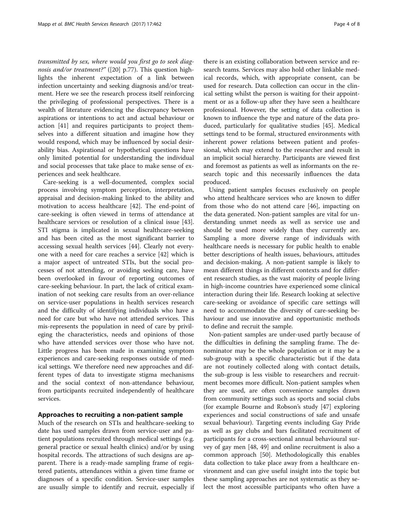transmitted by sex, where would you first go to seek diag-nosis and/or treatment?" ([[20](#page-6-0)] p.77). This question highlights the inherent expectation of a link between infection uncertainty and seeking diagnosis and/or treatment. Here we see the research process itself reinforcing the privileging of professional perspectives. There is a wealth of literature evidencing the discrepancy between aspirations or intentions to act and actual behaviour or action [[41\]](#page-6-0) and requires participants to project themselves into a different situation and imagine how they would respond, which may be influenced by social desirability bias. Aspirational or hypothetical questions have only limited potential for understanding the individual and social processes that take place to make sense of experiences and seek healthcare.

Care-seeking is a well-documented, complex social process involving symptom perception, interpretation, appraisal and decision-making linked to the ability and motivation to access healthcare [[42](#page-7-0)]. The end-point of care-seeking is often viewed in terms of attendance at healthcare services or resolution of a clinical issue [\[43](#page-7-0)]. STI stigma is implicated in sexual healthcare-seeking and has been cited as the most significant barrier to accessing sexual health services [[44\]](#page-7-0). Clearly not everyone with a need for care reaches a service [[42\]](#page-7-0) which is a major aspect of untreated STIs, but the social processes of not attending, or avoiding seeking care, have been overlooked in favour of reporting outcomes of care-seeking behaviour. In part, the lack of critical examination of not seeking care results from an over-reliance on service-user populations in health services research and the difficulty of identifying individuals who have a need for care but who have not attended services. This mis-represents the population in need of care by privileging the characteristics, needs and opinions of those who have attended services over those who have not. Little progress has been made in examining symptom experiences and care-seeking responses outside of medical settings. We therefore need new approaches and different types of data to investigate stigma mechanisms and the social context of non-attendance behaviour, from participants recruited independently of healthcare services.

# Approaches to recruiting a non-patient sample

Much of the research on STIs and healthcare-seeking to date has used samples drawn from service-user and patient populations recruited through medical settings (e.g. general practice or sexual health clinics) and/or by using hospital records. The attractions of such designs are apparent. There is a ready-made sampling frame of registered patients, attendances within a given time frame or diagnoses of a specific condition. Service-user samples are usually simple to identify and recruit, especially if

there is an existing collaboration between service and research teams. Services may also hold other linkable medical records, which, with appropriate consent, can be used for research. Data collection can occur in the clinical setting whilst the person is waiting for their appointment or as a follow-up after they have seen a healthcare professional. However, the setting of data collection is known to influence the type and nature of the data produced, particularly for qualitative studies [\[45\]](#page-7-0). Medical settings tend to be formal, structured environments with inherent power relations between patient and professional, which may extend to the researcher and result in an implicit social hierarchy. Participants are viewed first and foremost as patients as well as informants on the research topic and this necessarily influences the data produced.

Using patient samples focuses exclusively on people who attend healthcare services who are known to differ from those who do not attend care [[46](#page-7-0)], impacting on the data generated. Non-patient samples are vital for understanding unmet needs as well as service use and should be used more widely than they currently are. Sampling a more diverse range of individuals with healthcare needs is necessary for public health to enable better descriptions of health issues, behaviours, attitudes and decision-making. A non-patient sample is likely to mean different things in different contexts and for different research studies, as the vast majority of people living in high-income countries have experienced some clinical interaction during their life. Research looking at selective care-seeking or avoidance of specific care settings will need to accommodate the diversity of care-seeking behaviour and use innovative and opportunistic methods to define and recruit the sample.

Non-patient samples are under-used partly because of the difficulties in defining the sampling frame. The denominator may be the whole population or it may be a sub-group with a specific characteristic but if the data are not routinely collected along with contact details, the sub-group is less visible to researchers and recruitment becomes more difficult. Non-patient samples when they are used, are often convenience samples drawn from community settings such as sports and social clubs (for example Bourne and Robson's study [\[47\]](#page-7-0) exploring experiences and social constructions of safe and unsafe sexual behaviour). Targeting events including Gay Pride as well as gay clubs and bars facilitated recruitment of participants for a cross-sectional annual behavioural survey of gay men [\[48](#page-7-0), [49](#page-7-0)] and online recruitment is also a common approach [\[50](#page-7-0)]. Methodologically this enables data collection to take place away from a healthcare environment and can give useful insight into the topic but these sampling approaches are not systematic as they select the most accessible participants who often have a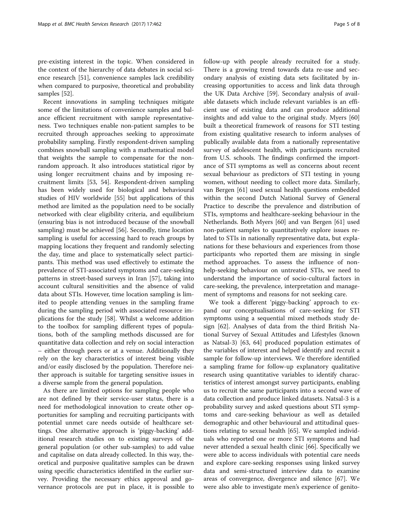pre-existing interest in the topic. When considered in the context of the hierarchy of data debates in social science research [\[51](#page-7-0)], convenience samples lack credibility when compared to purposive, theoretical and probability samples [\[52\]](#page-7-0).

Recent innovations in sampling techniques mitigate some of the limitations of convenience samples and balance efficient recruitment with sample representativeness. Two techniques enable non-patient samples to be recruited through approaches seeking to approximate probability sampling. Firstly respondent-driven sampling combines snowball sampling with a mathematical model that weights the sample to compensate for the nonrandom approach. It also introduces statistical rigor by using longer recruitment chains and by imposing recruitment limits [[53](#page-7-0), [54\]](#page-7-0). Respondent-driven sampling has been widely used for biological and behavioural studies of HIV worldwide [\[55\]](#page-7-0) but applications of this method are limited as the population need to be socially networked with clear eligibility criteria, and equilibrium (ensuring bias is not introduced because of the snowball sampling) must be achieved [[56\]](#page-7-0). Secondly, time location sampling is useful for accessing hard to reach groups by mapping locations they frequent and randomly selecting the day, time and place to systematically select participants. This method was used effectively to estimate the prevalence of STI-associated symptoms and care-seeking patterns in street-based surveys in Iran [[57\]](#page-7-0), taking into account cultural sensitivities and the absence of valid data about STIs. However, time location sampling is limited to people attending venues in the sampling frame during the sampling period with associated resource implications for the study [[58\]](#page-7-0). Whilst a welcome addition to the toolbox for sampling different types of populations, both of the sampling methods discussed are for quantitative data collection and rely on social interaction – either through peers or at a venue. Additionally they rely on the key characteristics of interest being visible and/or easily disclosed by the population. Therefore neither approach is suitable for targeting sensitive issues in a diverse sample from the general population.

As there are limited options for sampling people who are not defined by their service-user status, there is a need for methodological innovation to create other opportunities for sampling and recruiting participants with potential unmet care needs outside of healthcare settings. One alternative approach is 'piggy-backing' additional research studies on to existing surveys of the general population (or other sub-samples) to add value and capitalise on data already collected. In this way, theoretical and purposive qualitative samples can be drawn using specific characteristics identified in the earlier survey. Providing the necessary ethics approval and governance protocols are put in place, it is possible to follow-up with people already recruited for a study. There is a growing trend towards data re-use and secondary analysis of existing data sets facilitated by increasing opportunities to access and link data through the UK Data Archive [[59\]](#page-7-0). Secondary analysis of available datasets which include relevant variables is an efficient use of existing data and can produce additional insights and add value to the original study. Myers [[60](#page-7-0)] built a theoretical framework of reasons for STI testing from existing qualitative research to inform analyses of publically available data from a nationally representative survey of adolescent health, with participants recruited from U.S. schools. The findings confirmed the importance of STI symptoms as well as concerns about recent sexual behaviour as predictors of STI testing in young women, without needing to collect more data. Similarly, van Bergen [[61\]](#page-7-0) used sexual health questions embedded within the second Dutch National Survey of General Practice to describe the prevalence and distribution of STIs, symptoms and healthcare-seeking behaviour in the Netherlands. Both Myers [\[60](#page-7-0)] and van Bergen [\[61](#page-7-0)] used non-patient samples to quantitatively explore issues related to STIs in nationally representative data, but explanations for these behaviours and experiences from those participants who reported them are missing in single method approaches. To assess the influence of nonhelp-seeking behaviour on untreated STIs, we need to understand the importance of socio-cultural factors in care-seeking, the prevalence, interpretation and management of symptoms and reasons for not seeking care.

We took a different 'piggy-backing' approach to expand our conceptualisations of care-seeking for STI symptoms using a sequential mixed methods study design [\[62\]](#page-7-0). Analyses of data from the third British National Survey of Sexual Attitudes and Lifestyles (known as Natsal-3) [[63, 64\]](#page-7-0) produced population estimates of the variables of interest and helped identify and recruit a sample for follow-up interviews. We therefore identified a sampling frame for follow-up explanatory qualitative research using quantitative variables to identify characteristics of interest amongst survey participants, enabling us to recruit the same participants into a second wave of data collection and produce linked datasets. Natsal-3 is a probability survey and asked questions about STI symptoms and care-seeking behaviour as well as detailed demographic and other behavioural and attitudinal questions relating to sexual health [[65\]](#page-7-0). We sampled individuals who reported one or more STI symptoms and had never attended a sexual health clinic [[66\]](#page-7-0). Specifically we were able to access individuals with potential care needs and explore care-seeking responses using linked survey data and semi-structured interview data to examine areas of convergence, divergence and silence [\[67](#page-7-0)]. We were also able to investigate men's experience of genito-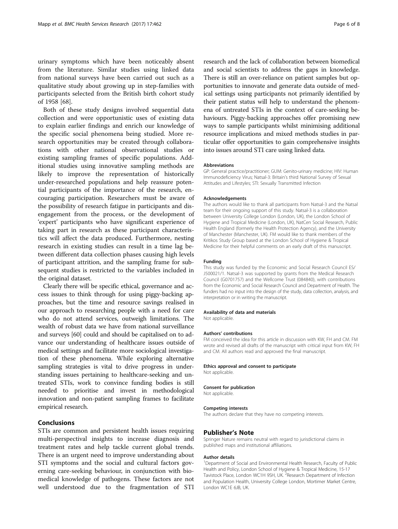urinary symptoms which have been noticeably absent from the literature. Similar studies using linked data from national surveys have been carried out such as a qualitative study about growing up in step-families with participants selected from the British birth cohort study of 1958 [\[68](#page-7-0)].

Both of these study designs involved sequential data collection and were opportunistic uses of existing data to explain earlier findings and enrich our knowledge of the specific social phenomena being studied. More research opportunities may be created through collaborations with other national observational studies or existing sampling frames of specific populations. Additional studies using innovative sampling methods are likely to improve the representation of historically under-researched populations and help reassure potential participants of the importance of the research, encouraging participation. Researchers must be aware of the possibility of research fatigue in participants and disengagement from the process, or the development of 'expert' participants who have significant experience of taking part in research as these participant characteristics will affect the data produced. Furthermore, nesting research in existing studies can result in a time lag between different data collection phases causing high levels of participant attrition, and the sampling frame for subsequent studies is restricted to the variables included in the original dataset.

Clearly there will be specific ethical, governance and access issues to think through for using piggy-backing approaches, but the time and resource savings realised in our approach to researching people with a need for care who do not attend services, outweigh limitations. The wealth of robust data we have from national surveillance and surveys [[60](#page-7-0)] could and should be capitalised on to advance our understanding of healthcare issues outside of medical settings and facilitate more sociological investigation of these phenomena. While exploring alternative sampling strategies is vital to drive progress in understanding issues pertaining to healthcare-seeking and untreated STIs, work to convince funding bodies is still needed to prioritise and invest in methodological innovation and non-patient sampling frames to facilitate empirical research.

# Conclusions

STIs are common and persistent health issues requiring multi-perspectival insights to increase diagnosis and treatment rates and help tackle current global trends. There is an urgent need to improve understanding about STI symptoms and the social and cultural factors governing care-seeking behaviour, in conjunction with biomedical knowledge of pathogens. These factors are not well understood due to the fragmentation of STI

research and the lack of collaboration between biomedical and social scientists to address the gaps in knowledge. There is still an over-reliance on patient samples but opportunities to innovate and generate data outside of medical settings using participants not primarily identified by their patient status will help to understand the phenomena of untreated STIs in the context of care-seeking behaviours. Piggy-backing approaches offer promising new ways to sample participants whilst minimising additional resource implications and mixed methods studies in particular offer opportunities to gain comprehensive insights into issues around STI care using linked data.

## Abbreviations

GP: General practice/practitioner; GUM: Genito-urinary medicine; HIV: Human Immunodeficiency Virus; Natsal-3: Britain's third National Survey of Sexual Attitudes and Lifestyles; STI: Sexually Transmitted Infection

#### Acknowledgements

The authors would like to thank all participants from Natsal-3 and the Natsal team for their ongoing support of this study. Natsal-3 is a collaboration between University College London (London, UK), the London School of Hygiene and Tropical Medicine (London, UK), NatCen Social Research, Public Health England (formerly the Health Protection Agency), and the University of Manchester (Manchester, UK). FM would like to thank members of the Kritikos Study Group based at the London School of Hygiene & Tropical Medicine for their helpful comments on an early draft of this manuscript.

## Funding

This study was funded by the Economic and Social Research Council ES/ J500021/1. Natsal-3 was supported by grants from the Medical Research Council (G0701757) and the Wellcome Trust (084840), with contributions from the Economic and Social Research Council and Department of Health. The funders had no input into the design of the study, data collection, analysis, and interpretation or in writing the manuscript.

#### Availability of data and materials

Not applicable.

### Authors' contributions

FM conceived the idea for this article in discussion with KW, FH and CM. FM wrote and revised all drafts of the manuscript with critical input from KW, FH and CM. All authors read and approved the final manuscript.

## Ethics approval and consent to participate

Not applicable.

## Consent for publication

Not applicable.

## Competing interests

The authors declare that they have no competing interests.

# Publisher's Note

Springer Nature remains neutral with regard to jurisdictional claims in published maps and institutional affiliations.

#### Author details

<sup>1</sup>Department of Social and Environmental Health Research, Faculty of Public Health and Policy, London School of Hygiene & Tropical Medicine, 15-17 Tavistock Place, London WC1H 9SH, UK. <sup>2</sup>Research Department of Infection and Population Health, University College London, Mortimer Market Centre, London WC1E 6JB, UK.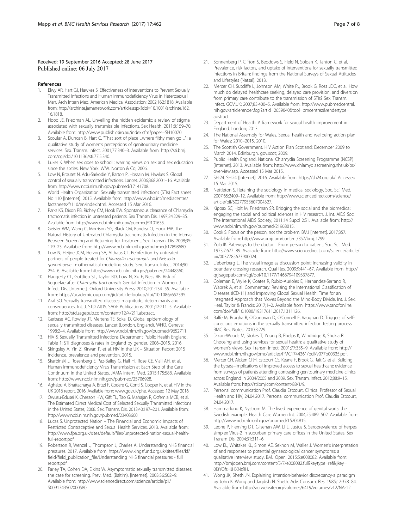# <span id="page-6-0"></span>Received: 19 September 2016 Accepted: 28 June 2017 Published online: 06 July 2017

## References

- 1. Elwy AR, Hart GJ, Hawkes S. Effectiveness of Interventions to Prevent Sexually Transmitted Infections and Human Immunodeficiency Virus in Heterosexual Men. Arch Intern Med. American Medical Association; 2002;162:1818. Available from: [http://archinte.jamanetwork.com/article.aspx?doi=10.1001/archinte.162.](http://archinte.jamanetwork.com/article.aspx?doi=10.1001/archinte.162.16.1818) [16.1818.](http://archinte.jamanetwork.com/article.aspx?doi=10.1001/archinte.162.16.1818)
- 2. Hood JE, Friedman AL. Unveiling the hidden epidemic: a review of stigma associated with sexually transmissible infections. Sex Health. 2011;8:159–70. Available from:<http://www.publish.csiro.au/index.cfm?paper=SH10070>
- 3. Scoular A, Duncan B, Hart G. "That sort of place ...where filthy men go ...": a qualitative study of women's perceptions of genitourinary medicine services. Sex. Transm. Infect. 2001;77:340–3. Available from: [http://sti.bmj.](http://sti.bmj.com/cgi/doi/10.1136/sti.77.5.340) [com/cgi/doi/10.1136/sti.77.5.340.](http://sti.bmj.com/cgi/doi/10.1136/sti.77.5.340)
- 4. Luker K. When sex goes to school : warring views on sex and sex education since the sixties. New York: W.W. Norton & Co; 2006.
- Low N, Broutet N, Adu-Sarkodie Y, Barton P, Hossain M, Hawkes S. Global control of sexually transmitted infections. Lancet. 2006;368:2001–16. Available from: [http://www.ncbi.nlm.nih.gov/pubmed/17141708.](http://www.ncbi.nlm.nih.gov/pubmed/17141708)
- 6. World Health Organization. Sexually transmitted infections (STIs) Fact sheet No 110 [Internet]. 2015. Available from: [http://www.who.int/mediacentre/](http://www.who.int/mediacentre/factsheets/fs110/en/index.html) [factsheets/fs110/en/index.html](http://www.who.int/mediacentre/factsheets/fs110/en/index.html). Accessed 15 Mar 2016.
- 7. Parks KS, Dixon PB, Richey CM, Hook EW. Spontaneous clearance of Chlamydia trachomatis infection in untreated patients. Sex Transm Dis. 1997;24:229–35. Available from:<http://www.ncbi.nlm.nih.gov/pubmed/9101635>.
- Geisler WM, Wang C, Morrison SG, Black CM, Bandea CI, Hook EW. The Natural History of Untreated Chlamydia trachomatis Infection in the Interval Between Screening and Returning for Treatment. Sex. Transm. Dis. 2008;35: 119–23. Available from: [http://www.ncbi.nlm.nih.gov/pubmed/17898680.](http://www.ncbi.nlm.nih.gov/pubmed/17898680)
- 9. Low N, Heijne JCM, Herzog SA, Althaus CL. Reinfection by untreated partners of people treated for Chlamydia trachomatis and Neisseria gonorrhoeae : mathematical modelling study. Sex. Transm. Infect. 2014;90: 254–6. Available from: [http://www.ncbi.nlm.nih.gov/pubmed/24448560.](http://www.ncbi.nlm.nih.gov/pubmed/24448560)
- 10. Haggerty CL, Gottlieb SL, Taylor BD, Low N, Xu F, Ness RB. Risk of Sequelae after Chlamydia trachomatis Genital Infection in Women. J. Infect. Dis. [Internet]. Oxford University Press; 2010;201:134–55. Available from: [https://academic.oup.com/jid/article-lookup/doi/10.1086/652395.](https://academic.oup.com/jid/article-lookup/doi/10.1086/652395)
- 11. Aral SO. Sexually transmitted diseases: magnitude, determinants and consequences. Int. J. STD AIDS. SAGE Publications; 2001;12:211–5. Available from: [http://std.sagepub.com/content/12/4/211.abstract.](http://std.sagepub.com/content/12/4/211.abstract)
- 12. Gerbase AC, Rowley JT, Mertens TE, Sokal D. Global epidemiology of sexually transmitted diseases. Lancet (London, England). WHO, Geneva; 1998;2–4. Available from:<http://www.ncbi.nlm.nih.gov/pubmed/9652711>.
- 13. HIV & Sexually Transmitted Infections Department Public Health England. Table 1: STI diagnoses & rates in England by gender, 2006–2015. 2016.
- 14. Skingsley A, Yin Z, Kirwan P, et al. HIV in the UK Situation Report 2015 Incidence, prevalence and prevention. 2015.
- 15. Skarbinski J, Rosenberg E, Paz-Bailey G, Hall HI, Rose CE, Viall AH, et al. Human Immunodeficiency Virus Transmission at Each Step of the Care Continuum in the United States. JAMA Intern. Med. 2015;175:588. Available from:<http://www.ncbi.nlm.nih.gov/pubmed/25706928>.
- 16. Aghaizu A, Bhattacharya A, Brizzi F, Codere G, Conti S, Cooper N, et al. HIV in the UK 2016 report. 2016. Available from: [www.gov.uk/phe](http://www.gov.uk/phe). Accessed 12 May 2016.
- 17. Owusu-Edusei K, Chesson HW, Gift TL, Tao G, Mahajan R, Ocfemia MCB, et al. The Estimated Direct Medical Cost of Selected Sexually Transmitted Infections in the United States, 2008. Sex. Transm. Dis. 2013;40:197–201. Available from: [http://www.ncbi.nlm.nih.gov/pubmed/23403600.](http://www.ncbi.nlm.nih.gov/pubmed/23403600)
- 18. Lucas S. Unprotected Nation The Financial and Economic Impacts of Restricted Contraceptive and Sexual Health Services. 2013. Available from: [http://www.fpa.org.uk/sites/default/files/unprotected-nation-sexual-health](http://www.fpa.org.uk/sites/default/files/unprotected-nation-sexual-health-full-report.pdf)[full-report.pdf](http://www.fpa.org.uk/sites/default/files/unprotected-nation-sexual-health-full-report.pdf).
- 19. Robertson R, Wenzel L, Thompson J, Charles A. Understanding NHS financial pressures. 2017. Available from: https://www.kingsfund.org.uk/sites/files/kf/ field/field\_publication\_file/Understanding NHS financial pressures - full report.pdf.
- 20. Farley TA, Cohen DA, Elkins W. Asymptomatic sexually transmitted diseases: the case for screening. Prev. Med. (Baltim). [Internet]. 2003;36:502–9. Available from: [http://www.sciencedirect.com/science/article/pii/](http://www.sciencedirect.com/science/article/pii/S0091743502000580) [S0091743502000580.](http://www.sciencedirect.com/science/article/pii/S0091743502000580)
- 21. Sonnenberg P, Clifton S, Beddows S, Field N, Soldan K, Tanton C, et al. Prevalence, risk factors, and uptake of interventions for sexually transmitted infections in Britain: findings from the National Surveys of Sexual Attitudes and Lifestyles (Natsal). 2013.
- 22. Mercer CH, Sutcliffe L, Johnson AM, White PJ, Brook G, Ross JDC, et al. How much do delayed healthcare seeking, delayed care provision, and diversion from primary care contribute to the transmission of STIs? Sex. Transm. Infect. GOV.UK; 2007;83:400–5. Available from: [http://www.pubmedcentral.](http://www.pubmedcentral.nih.gov/articlerender.fcgi?artid=2659040&tool=pmcentrez&rendertype=abstract) [nih.gov/articlerender.fcgi?artid=2659040&tool=pmcentrez&rendertype=](http://www.pubmedcentral.nih.gov/articlerender.fcgi?artid=2659040&tool=pmcentrez&rendertype=abstract) [abstract](http://www.pubmedcentral.nih.gov/articlerender.fcgi?artid=2659040&tool=pmcentrez&rendertype=abstract).
- 23. Department of Health. A framework for sexual health improvement in England. London; 2013.
- 24. The National Assembly for Wales. Sexual health and wellbeing action plan for Wales: 2010–2015. 2010.
- 25. The Scottish Government. HIV Action Plan Scotland: December 2009 to March 2014. Edinburgh. gov.scot; 2009.
- 26. Public Health England. National Chlamydia Screening Programme (NCSP) [Internet]. 2013. Available from: [http://www.chlamydiascreening.nhs.uk/ps/](http://www.chlamydiascreening.nhs.uk/ps/overview.asp) [overview.asp](http://www.chlamydiascreening.nhs.uk/ps/overview.asp). Accessed 15 Mar 2015.
- 27. SH:24. SH:24 [Internet]. 2016. Available from:<https://sh24.org.uk/>. Accessed 15 Mar 2015.
- 28. Nettleton S. Retaining the sociology in medical sociology. Soc. Sci. Med. 2007;65:2409–12. Available from: [http://www.sciencedirect.com/science/](http://www.sciencedirect.com/science/article/pii/S0277953607004327) [article/pii/S0277953607004327](http://www.sciencedirect.com/science/article/pii/S0277953607004327).
- 29. Kippax SC, Holt M, Friedman SR. Bridging the social and the biomedical: engaging the social and political sciences in HIV research. J. Int. AIDS Soc. The International AIDS Society; 2011;14 Suppl 2:S1. Available from: [http://](http://www.ncbi.nlm.nih.gov/pubmed/21968015) [www.ncbi.nlm.nih.gov/pubmed/21968015.](http://www.ncbi.nlm.nih.gov/pubmed/21968015)
- Cook S. Focus on the person, not the problem. BMJ [Internet]. 2017;357. Available from: [http://www.bmj.com/content/357/bmj.j1799.](http://www.bmj.com/content/357/bmj.j1799)
- 31. Zola IK. Pathways to the doctor—From person to patient. Soc. Sci. Med. 1973;7:677–89. Available from: [http://www.sciencedirect.com/science/article/](http://www.sciencedirect.com/science/article/pii/0037785673900024) [pii/0037785673900024.](http://www.sciencedirect.com/science/article/pii/0037785673900024)
- 32. Liebenberg L. The visual image as discussion point: increasing validity in boundary crossing research. Qual Res. 2009;9:441–67. Available from: [http://](http://qrj.sagepub.com/cgi/doi/10.1177/1468794109337877) [qrj.sagepub.com/cgi/doi/10.1177/1468794109337877](http://qrj.sagepub.com/cgi/doi/10.1177/1468794109337877).
- 33. Coleman E, Wylie K, Coates R, Rubio-Aurioles E, Hernandez-Serrano R, Wabrek A, et al. Commentary: Revising the International Classification of Diseases (ICD-11) and Improving Global Sexual Health: Time for an Integrated Approach that Moves Beyond the Mind-Body Divide. Int. J. Sex. Heal. Taylor & Francis; 2017;1–2. Available from: [https://www.tandfonline.](https://www.tandfonline.com/doi/full/10.1080/19317611.2017.1311126) [com/doi/full/10.1080/19317611.2017.1311126.](https://www.tandfonline.com/doi/full/10.1080/19317611.2017.1311126)
- 34. Balfe M, Brugha R, O'Donovan D, O'Connell E, Vaughan D. Triggers of selfconscious emotions in the sexually transmitted infection testing process. BMC Res. Notes. 2010;3:229.
- 35. Dixon-Woods M, Stokes T, Young B, Phelps K, Windridge K, Shukla R. Choosing and using services for sexual health: a qualitative study of women's views. Sex Transm Infect. 2001;77:335–9. Available from: [http://](http://www.ncbi.nlm.nih.gov/pmc/articles/PMC1744361/pdf/v077p00335.pdf) [www.ncbi.nlm.nih.gov/pmc/articles/PMC1744361/pdf/v077p00335.pdf](http://www.ncbi.nlm.nih.gov/pmc/articles/PMC1744361/pdf/v077p00335.pdf).
- 36. Mercer CH, Aicken CRH, Estcourt CS, Keane F, Brook G, Rait G, et al. Building the bypass–implications of improved access to sexual healthcare: evidence from surveys of patients attending contrasting genitourinary medicine clinics across England in 2004/2005 and 2009. Sex. Transm. Infect. 2012;88:9–15. Available from: [http://sti.bmj.com/content/88/1/9.](http://sti.bmj.com/content/88/1/9)
- 37. Personal communication Prof. Claudia Estcourt, Clinical Professor of Sexual Health and HIV, 24.04.2017. Personal communication Prof. Claudia Estcourt, 24.04.2017.
- 38. Hammarlund K, Nystrom M. The lived experience of genital warts: the Swedish example. Health Care Women Int. 2004;25:489–502. Available from: [http://www.ncbi.nlm.nih.gov/pubmed/15204815.](http://www.ncbi.nlm.nih.gov/pubmed/15204815)
- 39. Leone P, Fleming DT, Gilsenan AW, Li L, Justus S. Seroprevalence of herpes simplex Virus-2 in suburban primary care offices in the United States. Sex Transm Dis. 2004;31:311–6.
- 40. Low EL, Whitaker KL, Simon AE, Sekhon M, Waller J. Women's interpretation of and responses to potential gynaecological cancer symptoms: a qualitative interview study. BMJ Open. 2015;5:e008082. Available from: [http://bmjopen.bmj.com/content/5/7/e008082.full?keytype=ref&ijkey=](http://bmjopen.bmj.com/content/5/7/e008082.full?keytype=ref&ijkey=0l3YOfsHJHXNzRH) [0l3YOfsHJHXNzRH](http://bmjopen.bmj.com/content/5/7/e008082.full?keytype=ref&ijkey=0l3YOfsHJHXNzRH).
- 41. Wong JK, Sheth JN. Explaining intention-behavior discrepancy-a paradigm by John K. Wong and Jagdish N. Sheth. Adv. Consum. Res. 1985;12:378–84. Available from: [http://acrwebsite.org/volumes/6419/volumes/v12/NA-12.](http://acrwebsite.org/volumes/6419/volumes/v12/NA-12)